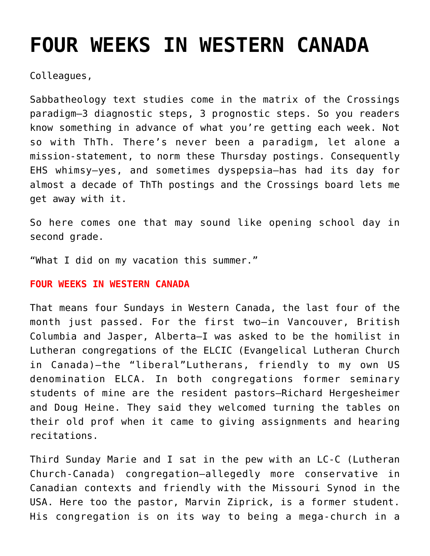# **[FOUR WEEKS IN WESTERN CANADA](https://crossings.org/four-weeks-in-western-canada/)**

Colleagues,

Sabbatheology text studies come in the matrix of the Crossings paradigm–3 diagnostic steps, 3 prognostic steps. So you readers know something in advance of what you're getting each week. Not so with ThTh. There's never been a paradigm, let alone a mission-statement, to norm these Thursday postings. Consequently EHS whimsy–yes, and sometimes dyspepsia–has had its day for almost a decade of ThTh postings and the Crossings board lets me get away with it.

So here comes one that may sound like opening school day in second grade.

"What I did on my vacation this summer."

## **FOUR WEEKS IN WESTERN CANADA**

That means four Sundays in Western Canada, the last four of the month just passed. For the first two–in Vancouver, British Columbia and Jasper, Alberta–I was asked to be the homilist in Lutheran congregations of the ELCIC (Evangelical Lutheran Church in Canada)–the "liberal"Lutherans, friendly to my own US denomination ELCA. In both congregations former seminary students of mine are the resident pastors–Richard Hergesheimer and Doug Heine. They said they welcomed turning the tables on their old prof when it came to giving assignments and hearing recitations.

Third Sunday Marie and I sat in the pew with an LC-C (Lutheran Church-Canada) congregation–allegedly more conservative in Canadian contexts and friendly with the Missouri Synod in the USA. Here too the pastor, Marvin Ziprick, is a former student. His congregation is on its way to being a mega-church in a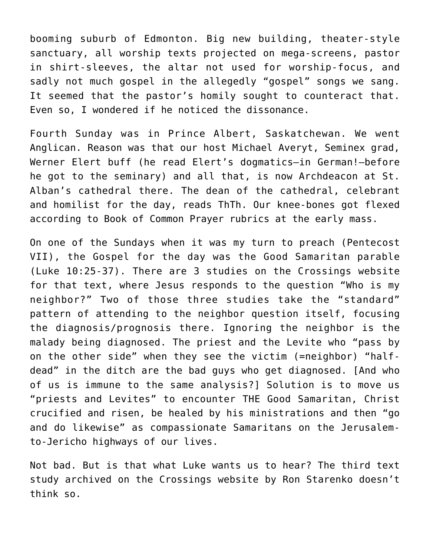booming suburb of Edmonton. Big new building, theater-style sanctuary, all worship texts projected on mega-screens, pastor in shirt-sleeves, the altar not used for worship-focus, and sadly not much gospel in the allegedly "gospel" songs we sang. It seemed that the pastor's homily sought to counteract that. Even so, I wondered if he noticed the dissonance.

Fourth Sunday was in Prince Albert, Saskatchewan. We went Anglican. Reason was that our host Michael Averyt, Seminex grad, Werner Elert buff (he read Elert's dogmatics–in German!–before he got to the seminary) and all that, is now Archdeacon at St. Alban's cathedral there. The dean of the cathedral, celebrant and homilist for the day, reads ThTh. Our knee-bones got flexed according to Book of Common Prayer rubrics at the early mass.

On one of the Sundays when it was my turn to preach (Pentecost VII), the Gospel for the day was the Good Samaritan parable (Luke 10:25-37). There are 3 studies on the Crossings website for that text, where Jesus responds to the question "Who is my neighbor?" Two of those three studies take the "standard" pattern of attending to the neighbor question itself, focusing the diagnosis/prognosis there. Ignoring the neighbor is the malady being diagnosed. The priest and the Levite who "pass by on the other side" when they see the victim (=neighbor) "halfdead" in the ditch are the bad guys who get diagnosed. [And who of us is immune to the same analysis?] Solution is to move us "priests and Levites" to encounter THE Good Samaritan, Christ crucified and risen, be healed by his ministrations and then "go and do likewise" as compassionate Samaritans on the Jerusalemto-Jericho highways of our lives.

Not bad. But is that what Luke wants us to hear? The third text study archived on the Crossings website by Ron Starenko doesn't think so.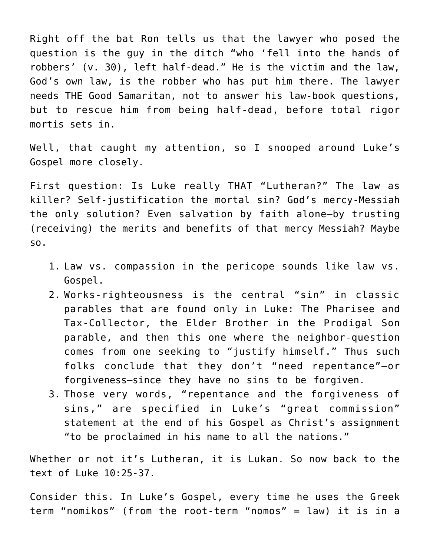Right off the bat Ron tells us that the lawyer who posed the question is the guy in the ditch "who 'fell into the hands of robbers' (v. 30), left half-dead." He is the victim and the law, God's own law, is the robber who has put him there. The lawyer needs THE Good Samaritan, not to answer his law-book questions, but to rescue him from being half-dead, before total rigor mortis sets in.

Well, that caught my attention, so I snooped around Luke's Gospel more closely.

First question: Is Luke really THAT "Lutheran?" The law as killer? Self-justification the mortal sin? God's mercy-Messiah the only solution? Even salvation by faith alone–by trusting (receiving) the merits and benefits of that mercy Messiah? Maybe so.

- 1. Law vs. compassion in the pericope sounds like law vs. Gospel.
- 2. Works-righteousness is the central "sin" in classic parables that are found only in Luke: The Pharisee and Tax-Collector, the Elder Brother in the Prodigal Son parable, and then this one where the neighbor-question comes from one seeking to "justify himself." Thus such folks conclude that they don't "need repentance"–or forgiveness–since they have no sins to be forgiven.
- 3. Those very words, "repentance and the forgiveness of sins," are specified in Luke's "great commission" statement at the end of his Gospel as Christ's assignment "to be proclaimed in his name to all the nations."

Whether or not it's Lutheran, it is Lukan. So now back to the text of Luke 10:25-37.

Consider this. In Luke's Gospel, every time he uses the Greek term "nomikos" (from the root-term "nomos" = law) it is in a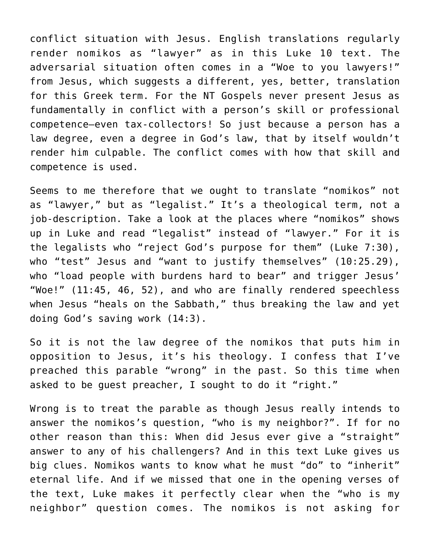conflict situation with Jesus. English translations regularly render nomikos as "lawyer" as in this Luke 10 text. The adversarial situation often comes in a "Woe to you lawyers!" from Jesus, which suggests a different, yes, better, translation for this Greek term. For the NT Gospels never present Jesus as fundamentally in conflict with a person's skill or professional competence–even tax-collectors! So just because a person has a law degree, even a degree in God's law, that by itself wouldn't render him culpable. The conflict comes with how that skill and competence is used.

Seems to me therefore that we ought to translate "nomikos" not as "lawyer," but as "legalist." It's a theological term, not a job-description. Take a look at the places where "nomikos" shows up in Luke and read "legalist" instead of "lawyer." For it is the legalists who "reject God's purpose for them" (Luke 7:30), who "test" Jesus and "want to justify themselves" (10:25.29), who "load people with burdens hard to bear" and trigger Jesus' "Woe!" (11:45, 46, 52), and who are finally rendered speechless when Jesus "heals on the Sabbath," thus breaking the law and yet doing God's saving work (14:3).

So it is not the law degree of the nomikos that puts him in opposition to Jesus, it's his theology. I confess that I've preached this parable "wrong" in the past. So this time when asked to be guest preacher, I sought to do it "right."

Wrong is to treat the parable as though Jesus really intends to answer the nomikos's question, "who is my neighbor?". If for no other reason than this: When did Jesus ever give a "straight" answer to any of his challengers? And in this text Luke gives us big clues. Nomikos wants to know what he must "do" to "inherit" eternal life. And if we missed that one in the opening verses of the text, Luke makes it perfectly clear when the "who is my neighbor" question comes. The nomikos is not asking for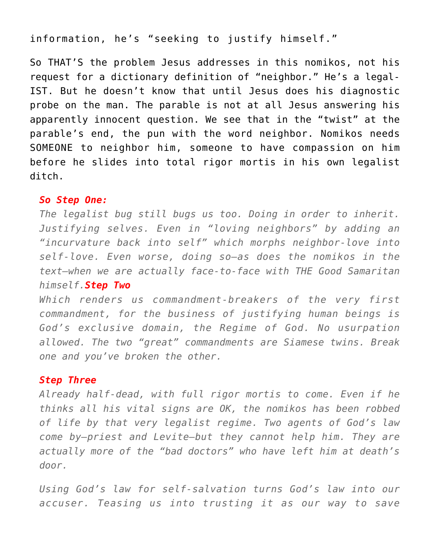# information, he's "seeking to justify himself."

So THAT'S the problem Jesus addresses in this nomikos, not his request for a dictionary definition of "neighbor." He's a legal-IST. But he doesn't know that until Jesus does his diagnostic probe on the man. The parable is not at all Jesus answering his apparently innocent question. We see that in the "twist" at the parable's end, the pun with the word neighbor. Nomikos needs SOMEONE to neighbor him, someone to have compassion on him before he slides into total rigor mortis in his own legalist ditch.

#### *So Step One:*

*The legalist bug still bugs us too. Doing in order to inherit. Justifying selves. Even in "loving neighbors" by adding an "incurvature back into self" which morphs neighbor-love into self-love. Even worse, doing so–as does the nomikos in the text–when we are actually face-to-face with THE Good Samaritan himself.Step Two*

*Which renders us commandment-breakers of the very first commandment, for the business of justifying human beings is God's exclusive domain, the Regime of God. No usurpation allowed. The two "great" commandments are Siamese twins. Break one and you've broken the other.*

#### *Step Three*

*Already half-dead, with full rigor mortis to come. Even if he thinks all his vital signs are OK, the nomikos has been robbed of life by that very legalist regime. Two agents of God's law come by–priest and Levite–but they cannot help him. They are actually more of the "bad doctors" who have left him at death's door.*

*Using God's law for self-salvation turns God's law into our accuser. Teasing us into trusting it as our way to save*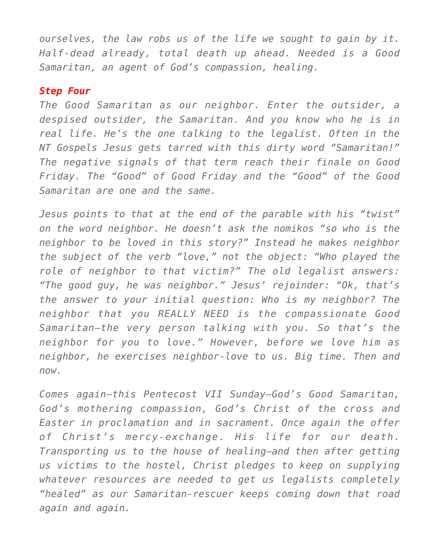*ourselves, the law robs us of the life we sought to gain by it. Half-dead already, total death up ahead. Needed is a Good Samaritan, an agent of God's compassion, healing.*

#### *Step Four*

*The Good Samaritan as our neighbor. Enter the outsider, a despised outsider, the Samaritan. And you know who he is in real life. He's the one talking to the legalist. Often in the NT Gospels Jesus gets tarred with this dirty word "Samaritan!" The negative signals of that term reach their finale on Good Friday. The "Good" of Good Friday and the "Good" of the Good Samaritan are one and the same.*

*Jesus points to that at the end of the parable with his "twist" on the word neighbor. He doesn't ask the nomikos "so who is the neighbor to be loved in this story?" Instead he makes neighbor the subject of the verb "love," not the object: "Who played the role of neighbor to that victim?" The old legalist answers: "The good guy, he was neighbor." Jesus' rejoinder: "Ok, that's the answer to your initial question: Who is my neighbor? The neighbor that you REALLY NEED is the compassionate Good Samaritan–the very person talking with you. So that's the neighbor for you to love." However, before we love him as neighbor, he exercises neighbor-love to us. Big time. Then and now.*

*Comes again–this Pentecost VII Sunday–God's Good Samaritan, God's mothering compassion, God's Christ of the cross and Easter in proclamation and in sacrament. Once again the offer of Christ's mercy-exchange. His life for our death. Transporting us to the house of healing–and then after getting us victims to the hostel, Christ pledges to keep on supplying whatever resources are needed to get us legalists completely "healed" as our Samaritan-rescuer keeps coming down that road again and again.*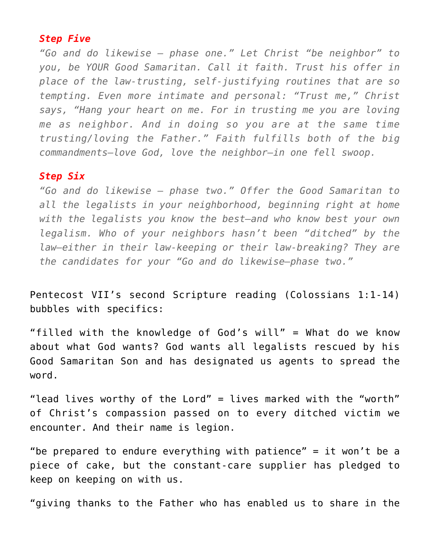## *Step Five*

*"Go and do likewise — phase one." Let Christ "be neighbor" to you, be YOUR Good Samaritan. Call it faith. Trust his offer in place of the law-trusting, self-justifying routines that are so tempting. Even more intimate and personal: "Trust me," Christ says, "Hang your heart on me. For in trusting me you are loving me as neighbor. And in doing so you are at the same time trusting/loving the Father." Faith fulfills both of the big commandments–love God, love the neighbor–in one fell swoop.*

## *Step Six*

*"Go and do likewise — phase two." Offer the Good Samaritan to all the legalists in your neighborhood, beginning right at home with the legalists you know the best–and who know best your own legalism. Who of your neighbors hasn't been "ditched" by the law–either in their law-keeping or their law-breaking? They are the candidates for your "Go and do likewise–phase two."*

Pentecost VII's second Scripture reading (Colossians 1:1-14) bubbles with specifics:

"filled with the knowledge of God's will" = What do we know about what God wants? God wants all legalists rescued by his Good Samaritan Son and has designated us agents to spread the word.

"lead lives worthy of the Lord" = lives marked with the "worth" of Christ's compassion passed on to every ditched victim we encounter. And their name is legion.

"be prepared to endure everything with patience" = it won't be a piece of cake, but the constant-care supplier has pledged to keep on keeping on with us.

"giving thanks to the Father who has enabled us to share in the